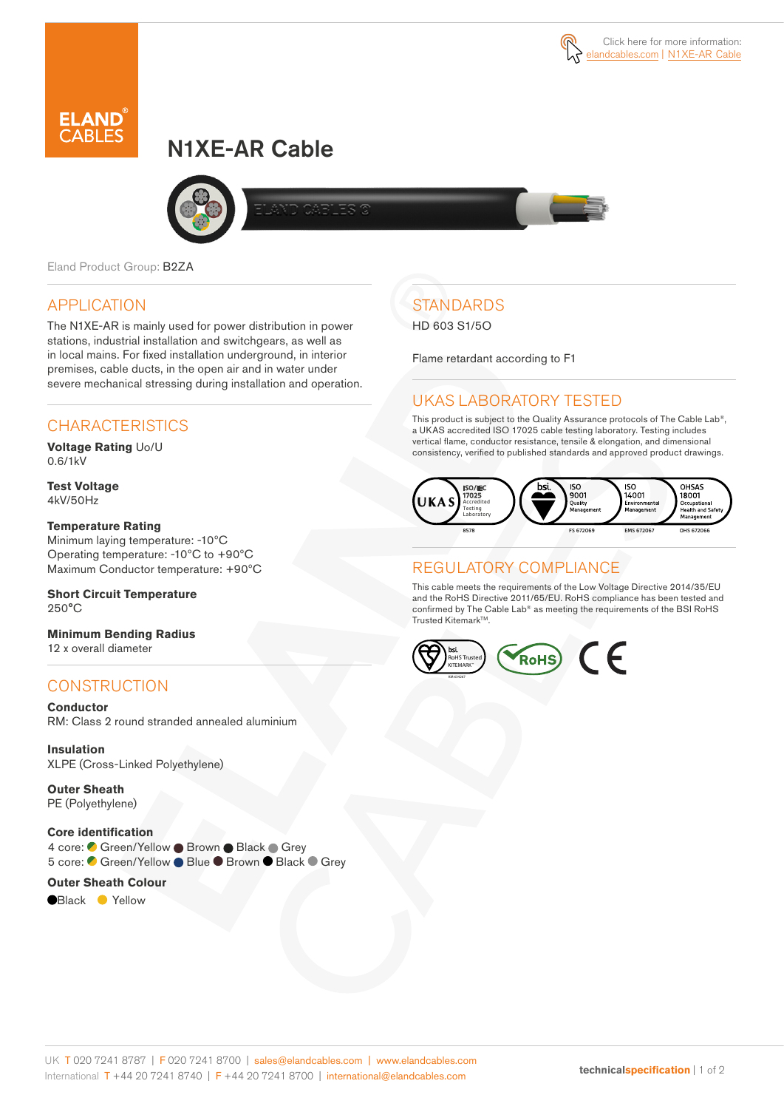# N1XE-AR Cable



Eland Product Group: B2ZA

### APPLICATION

The N1XE-AR is mainly used for power distribution in power stations, industrial installation and switchgears, as well as in local mains. For fixed installation underground, in interior premises, cable ducts, in the open air and in water under severe mechanical stressing during installation and operation.

### **CHARACTERISTICS**

**Voltage Rating** Uo/U 0.6/1kV

**Test Voltage** 4kV/50Hz

#### **Temperature Rating**

Minimum laying temperature: -10ºC Operating temperature: -10ºC to +90ºC Maximum Conductor temperature: +90ºC

**Short Circuit Temperature** 250°C

**Minimum Bending Radius**  12 x overall diameter

### **CONSTRUCTION**

**Conductor** RM: Class 2 round stranded annealed aluminium

**Insulation** XLPE (Cross-Linked Polyethylene)

**Outer Sheath** PE (Polyethylene)

#### **Core identification**

4 core: Green/Yellow ● Brown ● Black ● Grey 5 core: C Green/Yellow ● Blue ● Brown ● Black ● Grey

#### **Outer Sheath Colour**

**Black Yellow** 

## **STANDARDS**

#### HD 603 S1/5O

Flame retardant according to F1

### UKAS LABORATORY TESTED

This product is subject to the Quality Assurance protocols of The Cable Lab®, a UKAS accredited ISO 17025 cable testing laboratory. Testing includes vertical flame, conductor resistance, tensile & elongation, and dimensional consistency, verified to published standards and approved product drawings.



### REGULATORY COMPLIANCE

This cable meets the requirements of the Low Voltage Directive 2014/35/EU and the RoHS Directive 2011/65/EU. RoHS compliance has been tested and confirmed by The Cable Lab® as meeting the requirements of the BSI RoHS Trusted KitemarkTM.